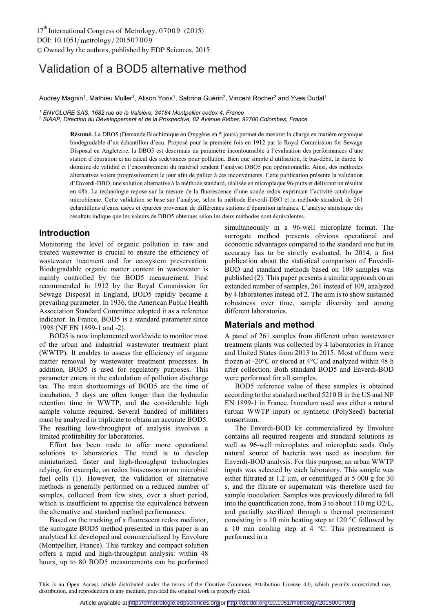# Validation of a BOD5 alternative method

Audrey Magnin<sup>1</sup>, Mathieu Muller<sup>1</sup>, Alison Yoris<sup>1</sup>, Sabrina Guérin<sup>2</sup>, Vincent Rocher<sup>2</sup> and Yves Dudal<sup>1</sup>

*1 ENVOLURE SAS, 1682 rue de la Valsière, 34184 Montpellier cedex 4, France* 

<sup>2</sup> SIAAP, Direction du Développement et de la Prospective, 82 Avenue Kléber, 92700 Colombes, France

**Résumé.** La DBO5 (Demande Biochimique en Oxygène en 5 jours) permet de mesurer la charge en matière organique biodégradable d'un échantillon d'eau. Proposé pour la première fois en 1912 par la Royal Commission for Sewage Disposal en Angleterre, la DBO5 est désormais un paramètre incontournable à l'évaluation des performances d'une station d'épuration et au calcul des redevances pour pollution. Bien que simple d'utilisation, le bas-débit, la durée, le domaine de validité et l'encombrement du matériel rendent l'analyse DBO5 peu opérationnelle. Ainsi, des méthodes alternatives voient progressivement le jour afin de pallier à ces inconvénients. Cette publication présente la validation d'Enverdi-DBO, une solution alternative à la méthode standard, réalisée en microplaque 96-puits et délivrant un résultat en 48h. La technologie repose sur la mesure de la fluorescence d'une sonde redox exprimant l'activité catabolique microbienne. Cette validation se base sur l'analyse, selon la méthode Enverdi-DBO et la méthode standard, de 261 échantillons d'eaux usées et épurées provenant de différentes stations d'épuration urbaines. L'analyse statistique des résultats indique que les valeurs de DBO5 obtenues selon les deux méthodes sont équivalentes.

### **Introduction**

Monitoring the level of organic pollution in raw and treated wastewater is crucial to ensure the efficiency of wastewater treatment and for ecosystem preservation. Biodegradable organic matter content in wastewater is mainly controlled by the BOD5 measurement. First recommended in 1912 by the Royal Commission for Sewage Disposal in England, BOD5 rapidly became a prevailing parameter. In 1936, the American Public Health Association Standard Committee adopted it as a reference indicator. In France, BOD5 is a standard parameter since 1998 (NF EN 1899-1 and -2).

BOD5 is now implemented worldwide to monitor most of the urban and industrial wastewater treatment plant (WWTP). It enables to assess the efficiency of organic matter removal by wastewater treatment processes. In addition, BOD5 is used for regulatory purposes. This parameter enters in the calculation of pollution discharge tax. The main shortcomings of BOD5 are the time of incubation, 5 days are often longer than the hydraulic retention time in WWTP, and the considerable high sample volume required. Several hundred of milliliters must be analyzed in triplicate to obtain an accurate BOD5. The resulting low-throughput of analysis involves a limited profitability for laboratories.

Effort has been made to offer more operational solutions to laboratories. The trend is to develop miniaturized, faster and high-throughput technologies relying, for example, on redox biosensors or on microbial fuel cells (1). However, the validation of alternative methods is generally performed on a reduced number of samples, collected from few sites, over a short period, which is insufficient to appraise the equivalence between the alternative and standard method performances.

Based on the tracking of a fluorescent redox mediator, the surrogate BOD5 method presented in this paper is an analytical kit developed and commercialized by Envolure (Montpellier, France). This turnkey and compact solution offers a rapid and high-throughput analysis: within 48 hours, up to 80 BOD5 measurements can be performed

simultaneously in a 96-well microplate format. The surrogate method presents obvious operational and economic advantages compared to the standard one but its accuracy has to be strictly evaluated. In 2014, a first publication about the statistical comparison of Enverdi-BOD and standard methods based on 109 samples was published (2). This paper presents a similar approach on an extended number of samples, 261 instead of 109, analyzed by 4 laboratories instead of 2. The aim is to show sustained robustness over time, sample diversity and among different laboratories.

## **Materials and method**

A panel of 261 samples from different urban wastewater treatment plants was collected by 4 laboratories in France and United States from 2013 to 2015. Most of them were frozen at -20°C or stored at 4°C and analyzed within 48 h after collection. Both standard BOD5 and Enverdi-BOD were performed for all samples.

BOD5 reference value of these samples is obtained according to the standard method 5210 B in the US and NF EN 1899-1 in France. Inoculum used was either a natural (urban WWTP input) or synthetic (PolySeed) bacterial consortium.

The Enverdi-BOD kit commercialized by Envolure contains all required reagents and standard solutions as well as 96-well microplates and microplate seals. Only natural source of bacteria was used as inoculum for Enverdi-BOD analysis. For this purpose, an urban WWTP inputs was selected by each laboratory. This sample was either filtrated at 1.2 µm, or centrifuged at 5 000 g for 30 s, and the filtrate or supernatant was therefore used for sample inoculation. Samples was previously diluted to fall into the quantification zone, from 3 to about 110 mg O2/L, and partially sterilized through a thermal pretreatment consisting in a 10 min heating step at 120 °C followed by a 10 min cooling step at  $4^{\circ}$ C. This pretreatment is performed in a

This is an Open Access article distributed under the terms of the Creative Commons Attribution License 4.0, which permits unrestricted use, distribution, and reproduction in any medium, provided the original work is properly cited.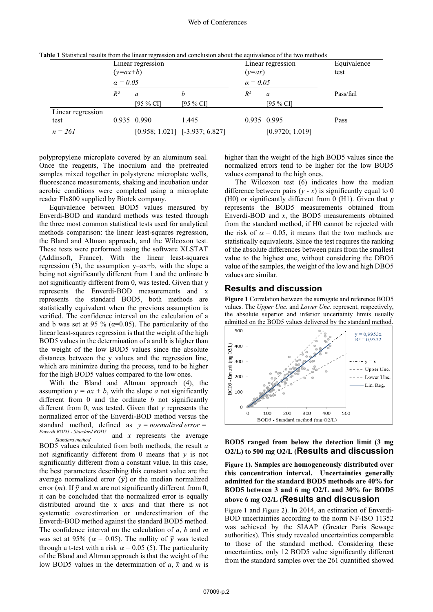|                           | $(y=ax+b)$      | Linear regression |                   | Linear regression<br>$(y=ax)$ |                 | Equivalence<br>test |  |
|---------------------------|-----------------|-------------------|-------------------|-------------------------------|-----------------|---------------------|--|
|                           | $\alpha = 0.05$ |                   |                   | $\alpha = 0.05$               |                 |                     |  |
|                           | $R^2$           | a                 | b                 | $R^2$                         | a               | Pass/fail           |  |
|                           |                 | [95 % CI]         | [95 $% CI$ ]      |                               | [95 $%$ CI]     |                     |  |
| Linear regression<br>test |                 | 0.935 0.990       | 1.445             |                               | 0.935 0.995     | Pass                |  |
| $n = 261$                 |                 | [0.958; 1.021]    | $[-3.937; 6.827]$ |                               | [0.9720; 1.019] |                     |  |

**Table 1** Statistical results from the linear regression and conclusion about the equivalence of the two methods

polypropylene microplate covered by an aluminum seal. Once the reagents, The inoculum and the pretreated samples mixed together in polystyrene microplate wells, fluorescence measurements, shaking and incubation under aerobic conditions were completed using a microplate reader Flx800 supplied by Biotek company.

Equivalence between BOD5 values measured by Enverdi-BOD and standard methods was tested through the three most common statistical tests used for analytical methods comparison: the linear least-squares regression, the Bland and Altman approach, and the Wilcoxon test. These tests were performed using the software XLSTAT (Addinsoft, France). With the linear least-squares regression (3), the assumption  $y=ax+b$ , with the slope a being not significantly different from 1 and the ordinate b not significantly different from 0, was tested. Given that y represents the Enverdi-BOD measurements and x represents the standard BOD5, both methods are statistically equivalent when the previous assumption is verified. The confidence interval on the calculation of a and b was set at 95 % ( $\alpha$ =0.05). The particularity of the linear least-squares regression is that the weight of the high BOD5 values in the determination of a and b is higher than the weight of the low BOD5 values since the absolute distances between the y values and the regression line, which are minimize during the process, tend to be higher for the high BOD5 values compared to the low ones.

With the Bland and Altman approach (4), the assumption  $y = ax + b$ , with the slope *a* not significantly different from 0 and the ordinate *b* not significantly different from 0, was tested. Given that *y* represents the normalized error of the Enverdi-BOD method versus the standard method, defined as  $y = normalized error =$ *Enverdi BOD5 - Standard BOD5 Standard method* and *x* represents the average BOD5 values calculated from both methods, the result *a* not significantly different from 0 means that *y* is not significantly different from a constant value. In this case, the best parameters describing this constant value are the average normalized error  $(\bar{y})$  or the median normalized error  $(m)$ . If  $\bar{y}$  and *m* are not significantly different from 0, it can be concluded that the normalized error is equally distributed around the x axis and that there is not systematic overestimation or underestimation of the Enverdi-BOD method against the standard BOD5 method. The confidence interval on the calculation of *a*, *b* and *m* was set at 95% ( $\alpha = 0.05$ ). The nullity of  $\bar{y}$  was tested through a t-test with a risk  $\alpha$  = 0.05 (5). The particularity of the Bland and Altman approach is that the weight of the low BOD5 values in the determination of  $a$ ,  $\bar{x}$  and  $m$  is

higher than the weight of the high BOD5 values since the normalized errors tend to be higher for the low BOD5 values compared to the high ones.

The Wilcoxon test (6) indicates how the median difference between pairs  $(y - x)$  is significantly equal to 0 (H0) or significantly different from 0 (H1). Given that *y* represents the BOD5 measurements obtained from Enverdi-BOD and *x*, the BOD5 measurements obtained from the standard method, if H0 cannot be rejected with the risk of  $\alpha = 0.05$ , it means that the two methods are statistically equivalents. Since the test requires the ranking of the absolute differences between pairs from the smallest value to the highest one, without considering the DBO5 value of the samples, the weight of the low and high DBO5 values are similar.

#### **Results and discussion**

**Figure 1** Correlation between the surrogate and reference BOD5 values. The *Upper Unc.* and *Lower Unc.* represent, respectively, the absolute superior and inferior uncertainty limits usually admitted on the BOD5 values delivered by the standard method.



#### **BOD5 ranged from below the detection limit (3 mg O2/L) to 500 mg O2/L (Results and discussion**

**Figure 1). Samples are homogeneously distributed over this concentration interval. Uncertainties generally admitted for the standard BOD5 methods are 40% for BOD5 between 3 and 6 mg O2/L and 30% for BOD5 above 6 mg O2/L (Results and discussion**

Figure 1 and Figure 2). In 2014, an estimation of Enverdi-BOD uncertainties according to the norm NF-ISO 11352 was achieved by the SIAAP (Greater Paris Sewage authorities). This study revealed uncertainties comparable to those of the standard method. Considering these uncertainties, only 12 BOD5 value significantly different from the standard samples over the 261 quantified showed